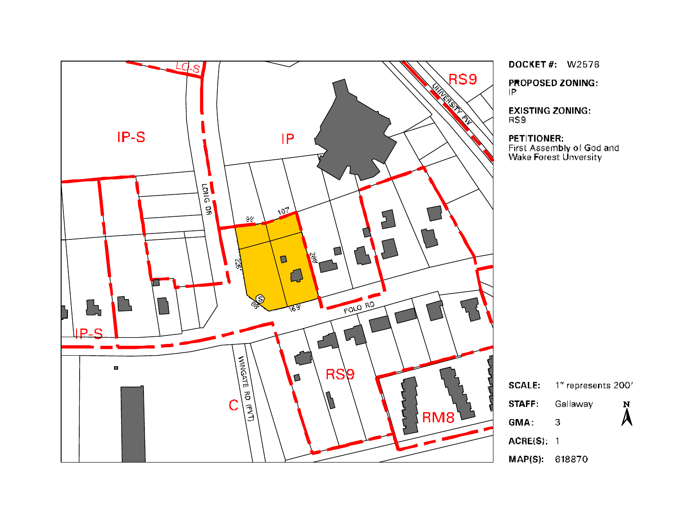

**DOCKET#: W2578** 

PROPOSED ZONING:<br>IP

**EXISTING ZONING:** RS9

PETITIONER:

First Assembly of God and<br>Wake Forest Unversity

|                | $\textsf{SCALE:}\quad$ 1" represents 200' |                    |
|----------------|-------------------------------------------|--------------------|
| STAFF          | Gallaway                                  | $\sum_{\lambda}^N$ |
| GMA:           | З                                         |                    |
| ACRE(S): 1     |                                           |                    |
| MAP(S): 618870 |                                           |                    |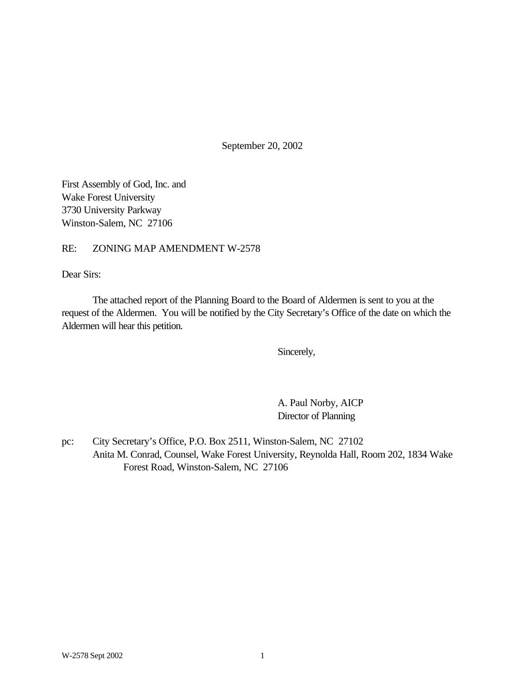September 20, 2002

First Assembly of God, Inc. and Wake Forest University 3730 University Parkway Winston-Salem, NC 27106

### RE: ZONING MAP AMENDMENT W-2578

Dear Sirs:

The attached report of the Planning Board to the Board of Aldermen is sent to you at the request of the Aldermen. You will be notified by the City Secretary's Office of the date on which the Aldermen will hear this petition.

Sincerely,

A. Paul Norby, AICP Director of Planning

pc: City Secretary's Office, P.O. Box 2511, Winston-Salem, NC 27102 Anita M. Conrad, Counsel, Wake Forest University, Reynolda Hall, Room 202, 1834 Wake Forest Road, Winston-Salem, NC 27106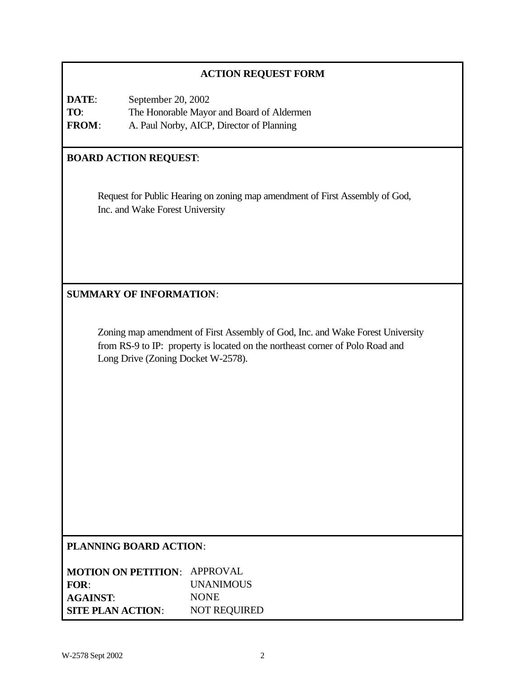## **ACTION REQUEST FORM**

**DATE**: September 20, 2002 **TO**: The Honorable Mayor and Board of Aldermen **FROM**: A. Paul Norby, AICP, Director of Planning

## **BOARD ACTION REQUEST**:

Request for Public Hearing on zoning map amendment of First Assembly of God, Inc. and Wake Forest University

## **SUMMARY OF INFORMATION**:

Zoning map amendment of First Assembly of God, Inc. and Wake Forest University from RS-9 to IP: property is located on the northeast corner of Polo Road and Long Drive (Zoning Docket W-2578).

### **PLANNING BOARD ACTION**:

| <b>MOTION ON PETITION: APPROVAL</b> |                     |
|-------------------------------------|---------------------|
| FOR:                                | <b>UNANIMOUS</b>    |
| <b>AGAINST:</b>                     | <b>NONE</b>         |
| <b>SITE PLAN ACTION:</b>            | <b>NOT REQUIRED</b> |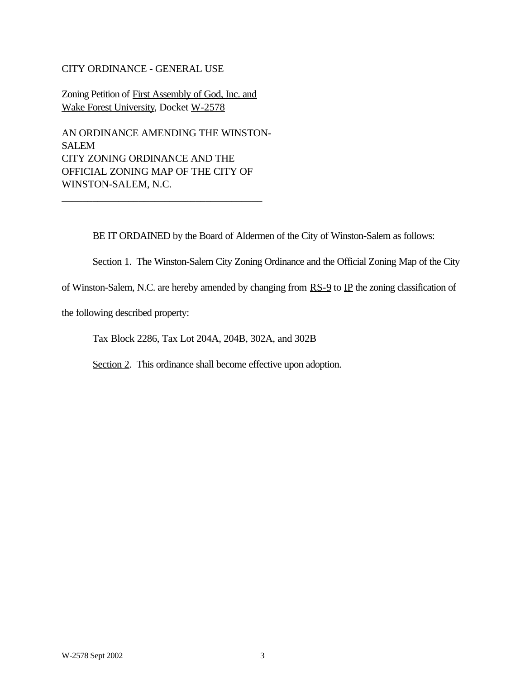### CITY ORDINANCE - GENERAL USE

Zoning Petition of First Assembly of God, Inc. and Wake Forest University, Docket W-2578

AN ORDINANCE AMENDING THE WINSTON-SALEM CITY ZONING ORDINANCE AND THE OFFICIAL ZONING MAP OF THE CITY OF WINSTON-SALEM, N.C.

\_\_\_\_\_\_\_\_\_\_\_\_\_\_\_\_\_\_\_\_\_\_\_\_\_\_\_\_\_\_\_\_\_\_\_\_\_\_\_

BE IT ORDAINED by the Board of Aldermen of the City of Winston-Salem as follows:

Section 1. The Winston-Salem City Zoning Ordinance and the Official Zoning Map of the City

of Winston-Salem, N.C. are hereby amended by changing from  $RS-9$  to  $IP$  the zoning classification of

the following described property:

Tax Block 2286, Tax Lot 204A, 204B, 302A, and 302B

Section 2. This ordinance shall become effective upon adoption.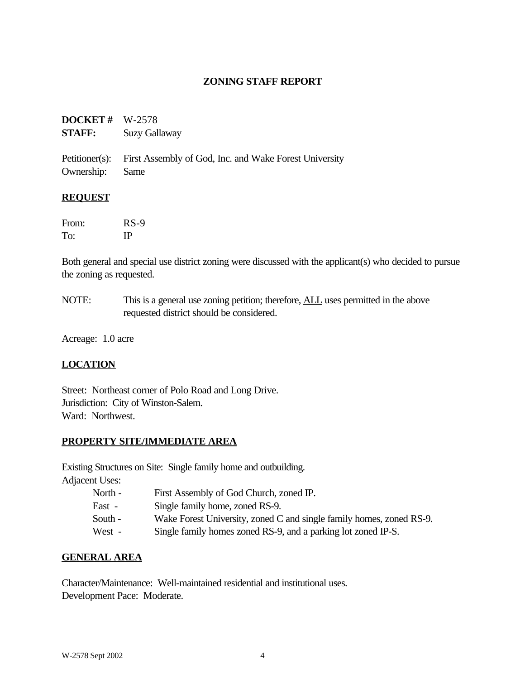### **ZONING STAFF REPORT**

## **DOCKET #** W-2578 **STAFF:** Suzy Gallaway

Petitioner(s): First Assembly of God, Inc. and Wake Forest University Ownership: Same

### **REQUEST**

| From: | $RS-9$ |
|-------|--------|
| To:   | ΙP     |

Both general and special use district zoning were discussed with the applicant(s) who decided to pursue the zoning as requested.

NOTE: This is a general use zoning petition; therefore, <u>ALL</u> uses permitted in the above requested district should be considered.

Acreage: 1.0 acre

## **LOCATION**

Street: Northeast corner of Polo Road and Long Drive. Jurisdiction: City of Winston-Salem. Ward: Northwest.

## **PROPERTY SITE/IMMEDIATE AREA**

Existing Structures on Site: Single family home and outbuilding. Adjacent Uses:

- North First Assembly of God Church, zoned IP.
- East Single family home, zoned RS-9.
- South Wake Forest University, zoned C and single family homes, zoned RS-9.
- West Single family homes zoned RS-9, and a parking lot zoned IP-S.

### **GENERAL AREA**

Character/Maintenance: Well-maintained residential and institutional uses. Development Pace: Moderate.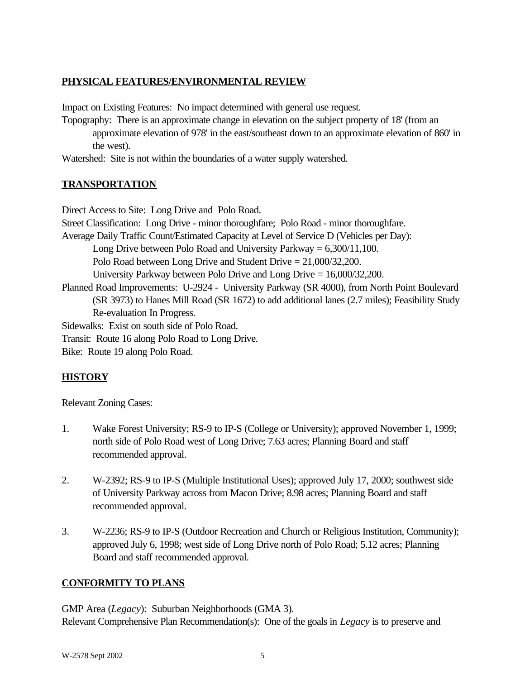## **PHYSICAL FEATURES/ENVIRONMENTAL REVIEW**

Impact on Existing Features: No impact determined with general use request.

Topography: There is an approximate change in elevation on the subject property of 18' (from an approximate elevation of 978' in the east/southeast down to an approximate elevation of 860' in the west).

Watershed: Site is not within the boundaries of a water supply watershed.

## **TRANSPORTATION**

Direct Access to Site: Long Drive and Polo Road. Street Classification: Long Drive - minor thoroughfare; Polo Road - minor thoroughfare. Average Daily Traffic Count/Estimated Capacity at Level of Service D (Vehicles per Day): Long Drive between Polo Road and University Parkway  $= 6,300/11,100$ . Polo Road between Long Drive and Student Drive = 21,000/32,200. University Parkway between Polo Drive and Long Drive = 16,000/32,200. Planned Road Improvements: U-2924 - University Parkway (SR 4000), from North Point Boulevard (SR 3973) to Hanes Mill Road (SR 1672) to add additional lanes (2.7 miles); Feasibility Study Re-evaluation In Progress. Sidewalks: Exist on south side of Polo Road. Transit: Route 16 along Polo Road to Long Drive.

Bike: Route 19 along Polo Road.

# **HISTORY**

Relevant Zoning Cases:

- 1. Wake Forest University; RS-9 to IP-S (College or University); approved November 1, 1999; north side of Polo Road west of Long Drive; 7.63 acres; Planning Board and staff recommended approval.
- 2. W-2392; RS-9 to IP-S (Multiple Institutional Uses); approved July 17, 2000; southwest side of University Parkway across from Macon Drive; 8.98 acres; Planning Board and staff recommended approval.
- 3. W-2236; RS-9 to IP-S (Outdoor Recreation and Church or Religious Institution, Community); approved July 6, 1998; west side of Long Drive north of Polo Road; 5.12 acres; Planning Board and staff recommended approval.

## **CONFORMITY TO PLANS**

GMP Area (*Legacy*): Suburban Neighborhoods (GMA 3). Relevant Comprehensive Plan Recommendation(s): One of the goals in *Legacy* is to preserve and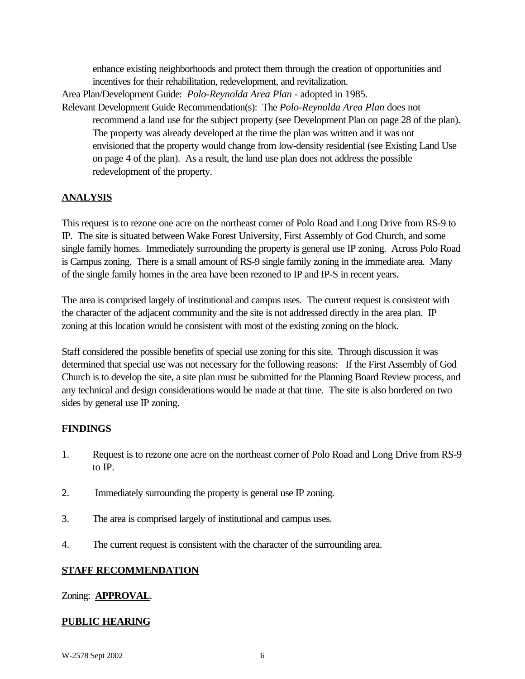enhance existing neighborhoods and protect them through the creation of opportunities and incentives for their rehabilitation, redevelopment, and revitalization.

Area Plan/Development Guide: *Polo-Reynolda Area Plan* - adopted in 1985. Relevant Development Guide Recommendation(s): The *Polo-Reynolda Area Plan* does not recommend a land use for the subject property (see Development Plan on page 28 of the plan). The property was already developed at the time the plan was written and it was not envisioned that the property would change from low-density residential (see Existing Land Use

on page 4 of the plan). As a result, the land use plan does not address the possible redevelopment of the property.

## **ANALYSIS**

This request is to rezone one acre on the northeast corner of Polo Road and Long Drive from RS-9 to IP. The site is situated between Wake Forest University, First Assembly of God Church, and some single family homes. Immediately surrounding the property is general use IP zoning. Across Polo Road is Campus zoning. There is a small amount of RS-9 single family zoning in the immediate area. Many of the single family homes in the area have been rezoned to IP and IP-S in recent years.

The area is comprised largely of institutional and campus uses. The current request is consistent with the character of the adjacent community and the site is not addressed directly in the area plan. IP zoning at this location would be consistent with most of the existing zoning on the block.

Staff considered the possible benefits of special use zoning for this site. Through discussion it was determined that special use was not necessary for the following reasons: If the First Assembly of God Church is to develop the site, a site plan must be submitted for the Planning Board Review process, and any technical and design considerations would be made at that time. The site is also bordered on two sides by general use IP zoning.

### **FINDINGS**

- 1. Request is to rezone one acre on the northeast corner of Polo Road and Long Drive from RS-9 to IP.
- 2. Immediately surrounding the property is general use IP zoning.
- 3. The area is comprised largely of institutional and campus uses.
- 4. The current request is consistent with the character of the surrounding area.

## **STAFF RECOMMENDATION**

### Zoning: **APPROVAL**.

### **PUBLIC HEARING**